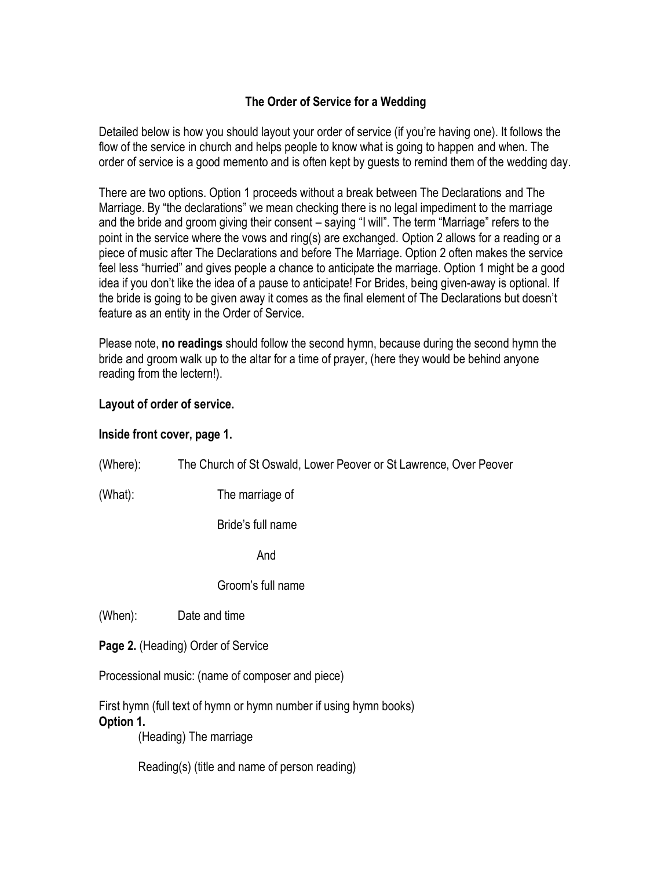## **The Order of Service for a Wedding**

Detailed below is how you should layout your order of service (if you're having one). It follows the flow of the service in church and helps people to know what is going to happen and when. The order of service is a good memento and is often kept by guests to remind them of the wedding day.

There are two options. Option 1 proceeds without a break between The Declarations and The Marriage. By "the declarations" we mean checking there is no legal impediment to the marriage and the bride and groom giving their consent – saying "I will". The term "Marriage" refers to the point in the service where the vows and ring(s) are exchanged. Option 2 allows for a reading or a piece of music after The Declarations and before The Marriage. Option 2 often makes the service feel less "hurried" and gives people a chance to anticipate the marriage. Option 1 might be a good idea if you don't like the idea of a pause to anticipate! For Brides, being given-away is optional. If the bride is going to be given away it comes as the final element of The Declarations but doesn't feature as an entity in the Order of Service.

Please note, **no readings** should follow the second hymn, because during the second hymn the bride and groom walk up to the altar for a time of prayer, (here they would be behind anyone reading from the lectern!).

## **Layout of order of service.**

## **Inside front cover, page 1.**

| (Where):  | The Church of St Oswald, Lower Peover or St Lawrence, Over Peover                                                                            |
|-----------|----------------------------------------------------------------------------------------------------------------------------------------------|
| (What):   | The marriage of                                                                                                                              |
|           | Bride's full name                                                                                                                            |
|           | And                                                                                                                                          |
|           | Groom's full name                                                                                                                            |
| (When):   | Date and time                                                                                                                                |
|           | Page 2. (Heading) Order of Service                                                                                                           |
|           | Processional music: (name of composer and piece)                                                                                             |
| Option 1. | First hymn (full text of hymn or hymn number if using hymn books)<br>(Heading) The marriage<br>Reading(s) (title and name of person reading) |
|           |                                                                                                                                              |